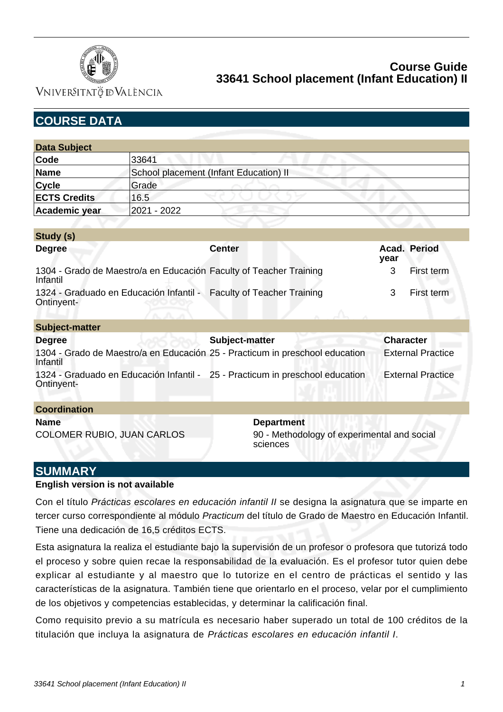

VNIVERSITATÖ ID VALÈNCIA

**Study (s)**

| <b>Data Subject</b> |                                        |  |
|---------------------|----------------------------------------|--|
| Code                | 33641                                  |  |
| <b>Name</b>         | School placement (Infant Education) II |  |
| <b>Cycle</b>        | Grade                                  |  |
| <b>ECTS Credits</b> | 16.5                                   |  |
| Academic year       | 2021 - 2022                            |  |

| $3144$ $(3)$                                                                                                                 |                                    |                  |                                     |
|------------------------------------------------------------------------------------------------------------------------------|------------------------------------|------------------|-------------------------------------|
| <b>Degree</b>                                                                                                                | <b>Center</b>                      | year             | Acad. Period                        |
| 1304 - Grado de Maestro/a en Educación Faculty of Teacher Training<br>Infantil                                               |                                    | 3                | First term                          |
| 1324 - Graduado en Educación Infantil -<br>Ontinyent-                                                                        | <b>Faculty of Teacher Training</b> | 3                | First term                          |
| <b>Subject-matter</b>                                                                                                        |                                    |                  |                                     |
| <b>Degree</b>                                                                                                                | Subject-matter                     | <b>Character</b> |                                     |
| 1304 - Grado de Maestro/a en Educación 25 - Practicum in preschool education<br>Infantil                                     |                                    |                  | <b>External Practice</b>            |
| $1004$ . Questionale and Estimated in the still $\overline{0}$ Properties on the model in the distribution of $\overline{0}$ |                                    |                  | محافظه والمتعارض والمنافذة والترافي |

1324 - Graduado en Educación Infantil - 25 - Practicum in preschool education External Practice Ontinyent-

| <b>Coordination</b>               |                                                         |  |  |  |  |
|-----------------------------------|---------------------------------------------------------|--|--|--|--|
| <b>Name</b>                       | <b>Department</b>                                       |  |  |  |  |
| <b>COLOMER RUBIO, JUAN CARLOS</b> | 90 - Methodology of experimental and social<br>sciences |  |  |  |  |

## **SUMMARY**

#### **English version is not available**

Con el título Prácticas escolares en educación infantil II se designa la asignatura que se imparte en tercer curso correspondiente al módulo Practicum del título de Grado de Maestro en Educación Infantil. Tiene una dedicación de 16,5 créditos ECTS.

Esta asignatura la realiza el estudiante bajo la supervisión de un profesor o profesora que tutorizá todo el proceso y sobre quien recae la responsabilidad de la evaluación. Es el profesor tutor quien debe explicar al estudiante y al maestro que lo tutorize en el centro de prácticas el sentido y las características de la asignatura. También tiene que orientarlo en el proceso, velar por el cumplimiento de los objetivos y competencias establecidas, y determinar la calificación final.

Como requisito previo a su matrícula es necesario haber superado un total de 100 créditos de la titulación que incluya la asignatura de Prácticas escolares en educación infantil I.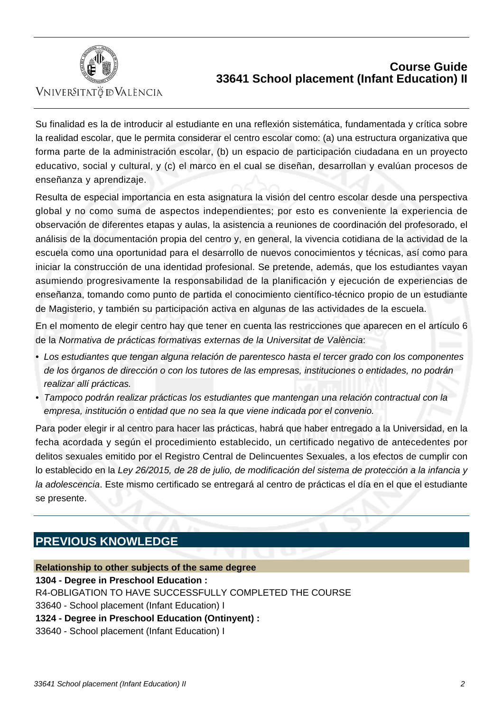

VNIVERSITATÖ ID VALÈNCIA

Su finalidad es la de introducir al estudiante en una reflexión sistemática, fundamentada y crítica sobre la realidad escolar, que le permita considerar el centro escolar como: (a) una estructura organizativa que forma parte de la administración escolar, (b) un espacio de participación ciudadana en un proyecto educativo, social y cultural, y (c) el marco en el cual se diseñan, desarrollan y evalúan procesos de enseñanza y aprendizaje.

Resulta de especial importancia en esta asignatura la visión del centro escolar desde una perspectiva global y no como suma de aspectos independientes; por esto es conveniente la experiencia de observación de diferentes etapas y aulas, la asistencia a reuniones de coordinación del profesorado, el análisis de la documentación propia del centro y, en general, la vivencia cotidiana de la actividad de la escuela como una oportunidad para el desarrollo de nuevos conocimientos y técnicas, así como para iniciar la construcción de una identidad profesional. Se pretende, además, que los estudiantes vayan asumiendo progresivamente la responsabilidad de la planificación y ejecución de experiencias de enseñanza, tomando como punto de partida el conocimiento científico-técnico propio de un estudiante de Magisterio, y también su participación activa en algunas de las actividades de la escuela.

En el momento de elegir centro hay que tener en cuenta las restricciones que aparecen en el artículo 6 de la Normativa de prácticas formativas externas de la Universitat de València:

- Los estudiantes que tengan alguna relación de parentesco hasta el tercer grado con los componentes de los órganos de dirección o con los tutores de las empresas, instituciones o entidades, no podrán realizar allí prácticas.
- Tampoco podrán realizar prácticas los estudiantes que mantengan una relación contractual con la empresa, institución o entidad que no sea la que viene indicada por el convenio.

Para poder elegir ir al centro para hacer las prácticas, habrá que haber entregado a la Universidad, en la fecha acordada y según el procedimiento establecido, un certificado negativo de antecedentes por delitos sexuales emitido por el Registro Central de Delincuentes Sexuales, a los efectos de cumplir con lo establecido en la Ley 26/2015, de 28 de julio, de modificación del sistema de protección a la infancia y la adolescencia. Este mismo certificado se entregará al centro de prácticas el día en el que el estudiante se presente.

# **PREVIOUS KNOWLEDGE**

### **Relationship to other subjects of the same degree**

**1304 - Degree in Preschool Education :**

R4-OBLIGATION TO HAVE SUCCESSFULLY COMPLETED THE COURSE

 33640 - School placement (Infant Education) I

**1324 - Degree in Preschool Education (Ontinyent) :**

 33640 - School placement (Infant Education) I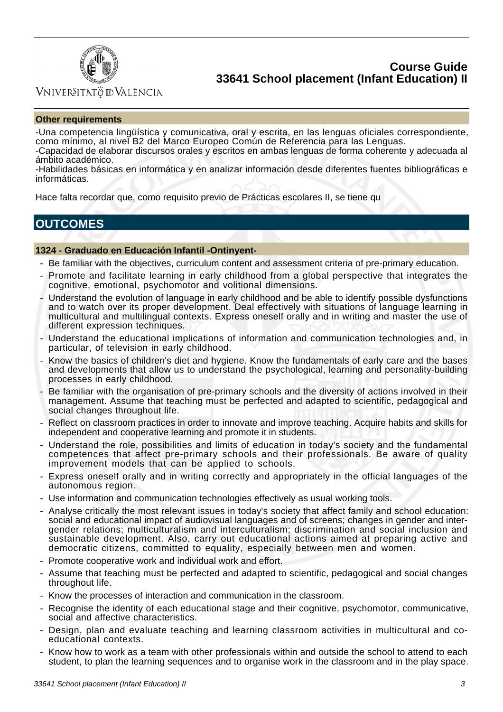

## Vniver§itatğ dValència

#### **Other requirements**

-Una competencia lingüística y comunicativa, oral y escrita, en las lenguas oficiales correspondiente, como mínimo, al nivel B2 del Marco Europeo Común de Referencia para las Lenguas.

-Capacidad de elaborar discursos orales y escritos en ambas lenguas de forma coherente y adecuada al ámbito académico.

-Habilidades básicas en informática y en analizar información desde diferentes fuentes bibliográficas e informáticas.

Hace falta recordar que, como requisito previo de Prácticas escolares II, se tiene qu

# **OUTCOMES**

#### **1324 - Graduado en Educación Infantil -Ontinyent-**

- Be familiar with the objectives, curriculum content and assessment criteria of pre-primary education.
- Promote and facilitate learning in early childhood from a global perspective that integrates the cognitive, emotional, psychomotor and volitional dimensions.
- Understand the evolution of language in early childhood and be able to identify possible dysfunctions and to watch over its proper development. Deal effectively with situations of language learning in multicultural and multilingual contexts. Express oneself orally and in writing and master the use of different expression techniques.
- Understand the educational implications of information and communication technologies and, in particular, of television in early childhood.
- Know the basics of children's diet and hygiene. Know the fundamentals of early care and the bases and developments that allow us to understand the psychological, learning and personality-building processes in early childhood.
- Be familiar with the organisation of pre-primary schools and the diversity of actions involved in their management. Assume that teaching must be perfected and adapted to scientific, pedagogical and social changes throughout life.
- Reflect on classroom practices in order to innovate and improve teaching. Acquire habits and skills for independent and cooperative learning and promote it in students.
- Understand the role, possibilities and limits of education in today's society and the fundamental competences that affect pre-primary schools and their professionals. Be aware of quality improvement models that can be applied to schools.
- Express oneself orally and in writing correctly and appropriately in the official languages of the autonomous region.
- Use information and communication technologies effectively as usual working tools.
- Analyse critically the most relevant issues in today's society that affect family and school education: social and educational impact of audiovisual languages and of screens; changes in gender and intergender relations; multiculturalism and interculturalism; discrimination and social inclusion and sustainable development. Also, carry out educational actions aimed at preparing active and democratic citizens, committed to equality, especially between men and women.
- Promote cooperative work and individual work and effort.
- Assume that teaching must be perfected and adapted to scientific, pedagogical and social changes throughout life.
- Know the processes of interaction and communication in the classroom.
- Recognise the identity of each educational stage and their cognitive, psychomotor, communicative, social and affective characteristics.
- Design, plan and evaluate teaching and learning classroom activities in multicultural and coeducational contexts.
- Know how to work as a team with other professionals within and outside the school to attend to each student, to plan the learning sequences and to organise work in the classroom and in the play space.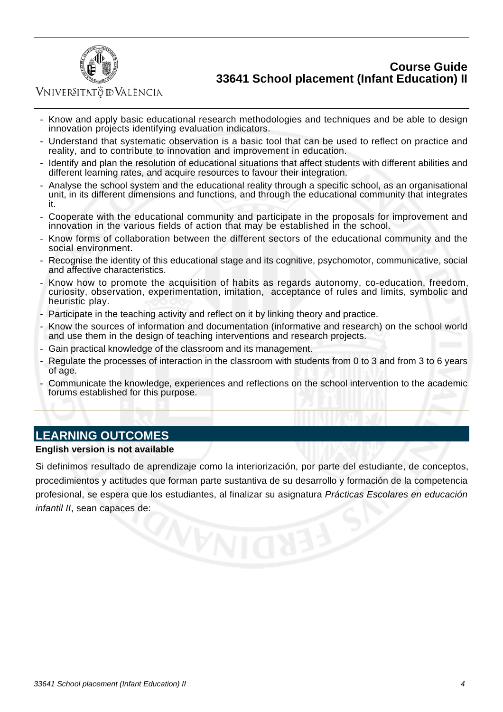

Vniver§itatğ dValència

- Know and apply basic educational research methodologies and techniques and be able to design innovation projects identifying evaluation indicators.
- Understand that systematic observation is a basic tool that can be used to reflect on practice and reality, and to contribute to innovation and improvement in education.
- Identify and plan the resolution of educational situations that affect students with different abilities and different learning rates, and acquire resources to favour their integration.
- Analyse the school system and the educational reality through a specific school, as an organisational unit, in its different dimensions and functions, and through the educational community that integrates it.
- Cooperate with the educational community and participate in the proposals for improvement and innovation in the various fields of action that may be established in the school.
- Know forms of collaboration between the different sectors of the educational community and the social environment.
- Recognise the identity of this educational stage and its cognitive, psychomotor, communicative, social and affective characteristics.
- Know how to promote the acquisition of habits as regards autonomy, co-education, freedom, curiosity, observation, experimentation, imitation, acceptance of rules and limits, symbolic and heuristic play.
- Participate in the teaching activity and reflect on it by linking theory and practice.
- Know the sources of information and documentation (informative and research) on the school world and use them in the design of teaching interventions and research projects.
- Gain practical knowledge of the classroom and its management.
- Regulate the processes of interaction in the classroom with students from 0 to 3 and from 3 to 6 years of age.
- Communicate the knowledge, experiences and reflections on the school intervention to the academic forums established for this purpose.

## **LEARNING OUTCOMES**

#### **English version is not available**

Si definimos resultado de aprendizaje como la interiorización, por parte del estudiante, de conceptos, procedimientos y actitudes que forman parte sustantiva de su desarrollo y formación de la competencia profesional, se espera que los estudiantes, al finalizar su asignatura Prácticas Escolares en educación infantil II, sean capaces de: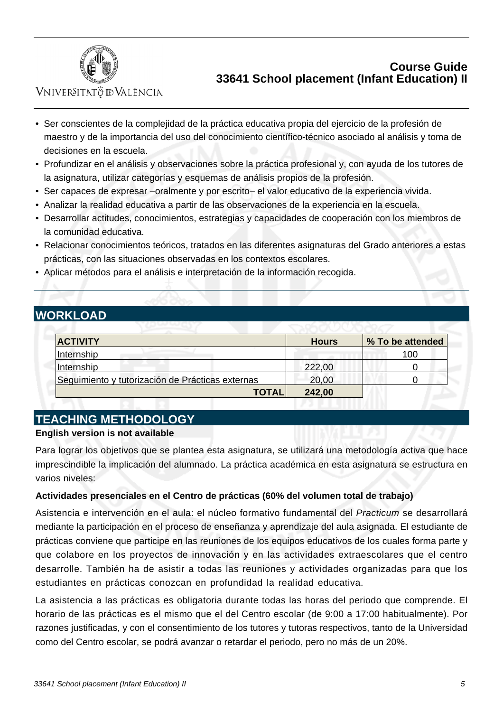

VNIVERSITATÖ ID VALÈNCIA

- Ser conscientes de la complejidad de la práctica educativa propia del ejercicio de la profesión de maestro y de la importancia del uso del conocimiento científico-técnico asociado al análisis y toma de decisiones en la escuela.
- Profundizar en el análisis y observaciones sobre la práctica profesional y, con ayuda de los tutores de la asignatura, utilizar categorías y esquemas de análisis propios de la profesión.
- Ser capaces de expresar –oralmente y por escrito– el valor educativo de la experiencia vivida.
- Analizar la realidad educativa a partir de las observaciones de la experiencia en la escuela.
- Desarrollar actitudes, conocimientos, estrategias y capacidades de cooperación con los miembros de la comunidad educativa.
- Relacionar conocimientos teóricos, tratados en las diferentes asignaturas del Grado anteriores a estas prácticas, con las situaciones observadas en los contextos escolares.
- Aplicar métodos para el análisis e interpretación de la información recogida.

# **WORKLOAD**

| <b>ACTIVITY</b>                                  | <b>Hours</b> | % To be attended |
|--------------------------------------------------|--------------|------------------|
| Internship                                       |              | 100              |
| Internship                                       | 222,00       |                  |
| Seguimiento y tutorización de Prácticas externas | 20,00        |                  |
| <b>TOTAL</b>                                     | 242,00       |                  |

# **TEACHING METHODOLOGY**

### **English version is not available**

Para lograr los objetivos que se plantea esta asignatura, se utilizará una metodología activa que hace imprescindible la implicación del alumnado. La práctica académica en esta asignatura se estructura en varios niveles:

### **Actividades presenciales en el Centro de prácticas (60% del volumen total de trabajo)**

Asistencia e intervención en el aula: el núcleo formativo fundamental del Practicum se desarrollará mediante la participación en el proceso de enseñanza y aprendizaje del aula asignada. El estudiante de prácticas conviene que participe en las reuniones de los equipos educativos de los cuales forma parte y que colabore en los proyectos de innovación y en las actividades extraescolares que el centro desarrolle. También ha de asistir a todas las reuniones y actividades organizadas para que los estudiantes en prácticas conozcan en profundidad la realidad educativa.

La asistencia a las prácticas es obligatoria durante todas las horas del periodo que comprende. El horario de las prácticas es el mismo que el del Centro escolar (de 9:00 a 17:00 habitualmente). Por razones justificadas, y con el consentimiento de los tutores y tutoras respectivos, tanto de la Universidad como del Centro escolar, se podrá avanzar o retardar el periodo, pero no más de un 20%.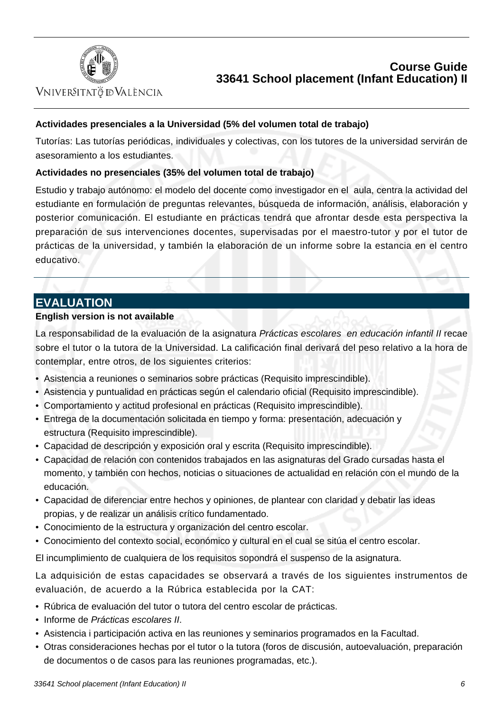

VNIVERSITATÖ ID VALÈNCIA

### **Actividades presenciales a la Universidad (5% del volumen total de trabajo)**

Tutorías: Las tutorías periódicas, individuales y colectivas, con los tutores de la universidad servirán de asesoramiento a los estudiantes.

### **Actividades no presenciales (35% del volumen total de trabajo)**

Estudio y trabajo autónomo: el modelo del docente como investigador en el aula, centra la actividad del estudiante en formulación de preguntas relevantes, búsqueda de información, análisis, elaboración y posterior comunicación. El estudiante en prácticas tendrá que afrontar desde esta perspectiva la preparación de sus intervenciones docentes, supervisadas por el maestro-tutor y por el tutor de prácticas de la universidad, y también la elaboración de un informe sobre la estancia en el centro educativo.

## **EVALUATION**

### **English version is not available**

La responsabilidad de la evaluación de la asignatura Prácticas escolares en educación infantil II recae sobre el tutor o la tutora de la Universidad. La calificación final derivará del peso relativo a la hora de contemplar, entre otros, de los siguientes criterios:

- Asistencia a reuniones o seminarios sobre prácticas (Requisito imprescindible).
- Asistencia y puntualidad en prácticas según el calendario oficial (Requisito imprescindible).
- Comportamiento y actitud profesional en prácticas (Requisito imprescindible).
- Entrega de la documentación solicitada en tiempo y forma: presentación, adecuación y estructura (Requisito imprescindible).
- Capacidad de descripción y exposición oral y escrita (Requisito imprescindible).
- Capacidad de relación con contenidos trabajados en las asignaturas del Grado cursadas hasta el momento, y también con hechos, noticias o situaciones de actualidad en relación con el mundo de la educación.
- Capacidad de diferenciar entre hechos y opiniones, de plantear con claridad y debatir las ideas propias, y de realizar un análisis crítico fundamentado.
- Conocimiento de la estructura y organización del centro escolar.
- Conocimiento del contexto social, económico y cultural en el cual se sitúa el centro escolar.

El incumplimiento de cualquiera de los requisitos sopondrá el suspenso de la asignatura.

La adquisición de estas capacidades se observará a través de los siguientes instrumentos de evaluación, de acuerdo a la Rúbrica establecida por la CAT:

- Rúbrica de evaluación del tutor o tutora del centro escolar de prácticas.
- Informe de Prácticas escolares II.
- Asistencia i participación activa en las reuniones y seminarios programados en la Facultad.
- Otras consideraciones hechas por el tutor o la tutora (foros de discusión, autoevaluación, preparación de documentos o de casos para las reuniones programadas, etc.).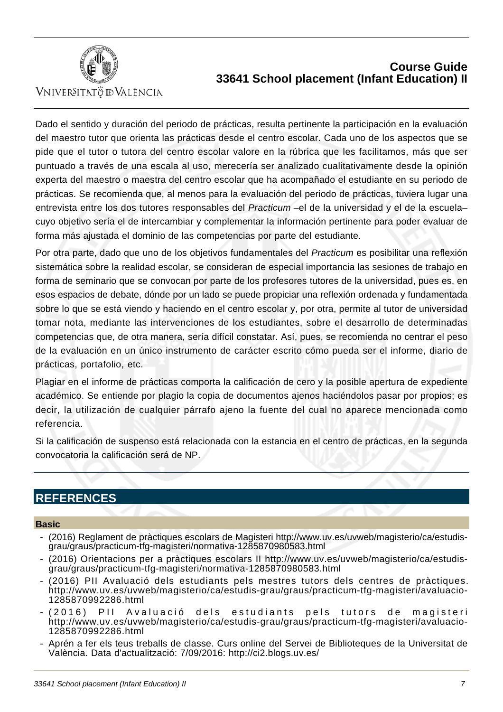

VNIVERSITATÖ ID VALÈNCIA

Dado el sentido y duración del periodo de prácticas, resulta pertinente la participación en la evaluación del maestro tutor que orienta las prácticas desde el centro escolar. Cada uno de los aspectos que se pide que el tutor o tutora del centro escolar valore en la rúbrica que les facilitamos, más que ser puntuado a través de una escala al uso, merecería ser analizado cualitativamente desde la opinión experta del maestro o maestra del centro escolar que ha acompañado el estudiante en su periodo de prácticas. Se recomienda que, al menos para la evaluación del periodo de prácticas, tuviera lugar una entrevista entre los dos tutores responsables del Practicum -el de la universidad y el de la escuelacuyo objetivo sería el de intercambiar y complementar la información pertinente para poder evaluar de forma más ajustada el dominio de las competencias por parte del estudiante.

Por otra parte, dado que uno de los objetivos fundamentales del Practicum es posibilitar una reflexión sistemática sobre la realidad escolar, se consideran de especial importancia las sesiones de trabajo en forma de seminario que se convocan por parte de los profesores tutores de la universidad, pues es, en esos espacios de debate, dónde por un lado se puede propiciar una reflexión ordenada y fundamentada sobre lo que se está viendo y haciendo en el centro escolar y, por otra, permite al tutor de universidad tomar nota, mediante las intervenciones de los estudiantes, sobre el desarrollo de determinadas competencias que, de otra manera, sería difícil constatar. Así, pues, se recomienda no centrar el peso de la evaluación en un único instrumento de carácter escrito cómo pueda ser el informe, diario de prácticas, portafolio, etc.

Plagiar en el informe de prácticas comporta la calificación de cero y la posible apertura de expediente académico. Se entiende por plagio la copia de documentos ajenos haciéndolos pasar por propios; es decir, la utilización de cualquier párrafo ajeno la fuente del cual no aparece mencionada como referencia.

Si la calificación de suspenso está relacionada con la estancia en el centro de prácticas, en la segunda convocatoria la calificación será de NP.

# **REFERENCES**

#### **Basic**

- (2016) Reglament de pràctiques escolars de Magisteri http://www.uv.es/uvweb/magisterio/ca/estudisgrau/graus/practicum-tfg-magisteri/normativa-1285870980583.html
- (2016) Orientacions per a pràctiques escolars II http://www.uv.es/uvweb/magisterio/ca/estudisgrau/graus/practicum-tfg-magisteri/normativa-1285870980583.html
- (2016) PII Avaluació dels estudiants pels mestres tutors dels centres de pràctiques. http://www.uv.es/uvweb/magisterio/ca/estudis-grau/graus/practicum-tfg-magisteri/avaluacio-1285870992286.html
- (2016) PII Avaluació dels estudiants pels tutors de magisteri http://www.uv.es/uvweb/magisterio/ca/estudis-grau/graus/practicum-tfg-magisteri/avaluacio-1285870992286.html
- Aprén a fer els teus treballs de classe. Curs online del Servei de Biblioteques de la Universitat de València. Data d'actualització: 7/09/2016: http://ci2.blogs.uv.es/